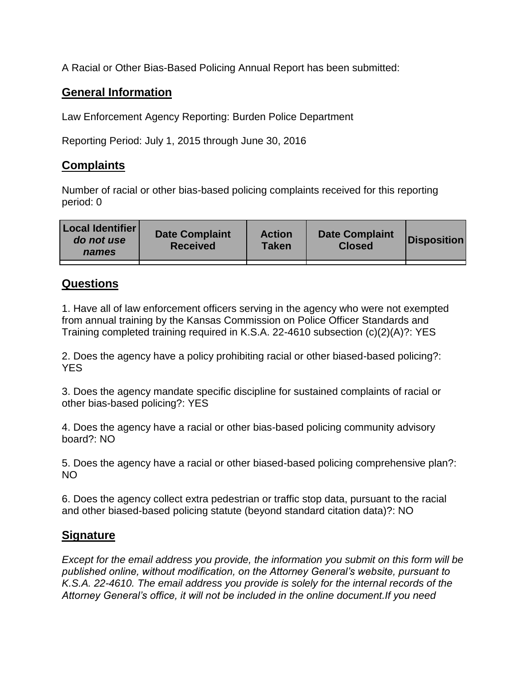A Racial or Other Bias-Based Policing Annual Report has been submitted:

## **General Information**

Law Enforcement Agency Reporting: Burden Police Department

Reporting Period: July 1, 2015 through June 30, 2016

## **Complaints**

Number of racial or other bias-based policing complaints received for this reporting period: 0

| <b>Local Identifier</b><br>do not use<br>names | <b>Date Complaint</b><br><b>Received</b> | <b>Action</b><br><b>Taken</b> | <b>Date Complaint</b><br><b>Closed</b> | Disposition |
|------------------------------------------------|------------------------------------------|-------------------------------|----------------------------------------|-------------|
|                                                |                                          |                               |                                        |             |

## **Questions**

1. Have all of law enforcement officers serving in the agency who were not exempted from annual training by the Kansas Commission on Police Officer Standards and Training completed training required in K.S.A. 22-4610 subsection (c)(2)(A)?: YES

2. Does the agency have a policy prohibiting racial or other biased-based policing?: YES

3. Does the agency mandate specific discipline for sustained complaints of racial or other bias-based policing?: YES

4. Does the agency have a racial or other bias-based policing community advisory board?: NO

5. Does the agency have a racial or other biased-based policing comprehensive plan?: NO

6. Does the agency collect extra pedestrian or traffic stop data, pursuant to the racial and other biased-based policing statute (beyond standard citation data)?: NO

## **Signature**

*Except for the email address you provide, the information you submit on this form will be published online, without modification, on the Attorney General's website, pursuant to K.S.A. 22-4610. The email address you provide is solely for the internal records of the Attorney General's office, it will not be included in the online document.If you need*